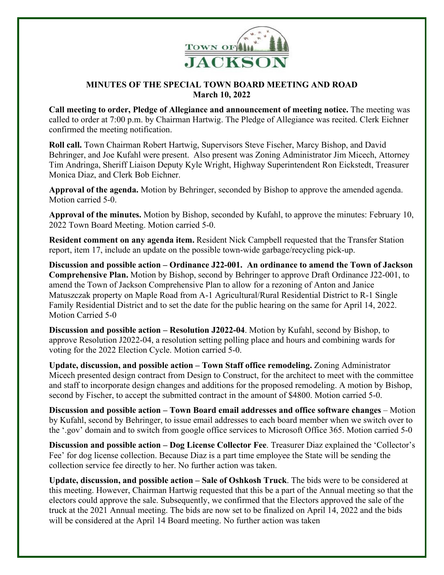

## **MINUTES OF THE SPECIAL TOWN BOARD MEETING AND ROAD March 10, 2022**

**Call meeting to order, Pledge of Allegiance and announcement of meeting notice.** The meeting was called to order at 7:00 p.m. by Chairman Hartwig. The Pledge of Allegiance was recited. Clerk Eichner confirmed the meeting notification.

**Roll call.** Town Chairman Robert Hartwig, Supervisors Steve Fischer, Marcy Bishop, and David Behringer, and Joe Kufahl were present. Also present was Zoning Administrator Jim Micech, Attorney Tim Andringa, Sheriff Liaison Deputy Kyle Wright, Highway Superintendent Ron Eickstedt, Treasurer Monica Diaz, and Clerk Bob Eichner.

**Approval of the agenda.** Motion by Behringer, seconded by Bishop to approve the amended agenda. Motion carried 5-0.

**Approval of the minutes.** Motion by Bishop, seconded by Kufahl, to approve the minutes: February 10, 2022 Town Board Meeting. Motion carried 5-0.

**Resident comment on any agenda item.** Resident Nick Campbell requested that the Transfer Station report, item 17, include an update on the possible town-wide garbage/recycling pick-up.

**Discussion and possible action – Ordinance J22-001. An ordinance to amend the Town of Jackson Comprehensive Plan.** Motion by Bishop, second by Behringer to approve Draft Ordinance J22-001, to amend the Town of Jackson Comprehensive Plan to allow for a rezoning of Anton and Janice Matuszczak property on Maple Road from A-1 Agricultural/Rural Residential District to R-1 Single Family Residential District and to set the date for the public hearing on the same for April 14, 2022. Motion Carried 5-0

**Discussion and possible action – Resolution J2022-04**. Motion by Kufahl, second by Bishop, to approve Resolution J2022-04, a resolution setting polling place and hours and combining wards for voting for the 2022 Election Cycle. Motion carried 5-0.

**Update, discussion, and possible action – Town Staff office remodeling.** Zoning Administrator Micech presented design contract from Design to Construct, for the architect to meet with the committee and staff to incorporate design changes and additions for the proposed remodeling. A motion by Bishop, second by Fischer, to accept the submitted contract in the amount of \$4800. Motion carried 5-0.

**Discussion and possible action – Town Board email addresses and office software changes** – Motion by Kufahl, second by Behringer, to issue email addresses to each board member when we switch over to the '.gov' domain and to switch from google office services to Microsoft Office 365. Motion carried 5-0

**Discussion and possible action – Dog License Collector Fee**. Treasurer Diaz explained the 'Collector's Fee' for dog license collection. Because Diaz is a part time employee the State will be sending the collection service fee directly to her. No further action was taken.

**Update, discussion, and possible action – Sale of Oshkosh Truck**. The bids were to be considered at this meeting. However, Chairman Hartwig requested that this be a part of the Annual meeting so that the electors could approve the sale. Subsequently, we confirmed that the Electors approved the sale of the truck at the 2021 Annual meeting. The bids are now set to be finalized on April 14, 2022 and the bids will be considered at the April 14 Board meeting. No further action was taken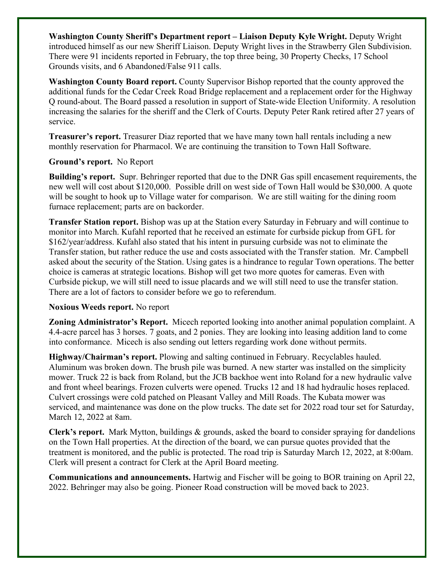**Washington County Sheriff's Department report – Liaison Deputy Kyle Wright.** Deputy Wright introduced himself as our new Sheriff Liaison. Deputy Wright lives in the Strawberry Glen Subdivision. There were 91 incidents reported in February, the top three being, 30 Property Checks, 17 School Grounds visits, and 6 Abandoned/False 911 calls.

**Washington County Board report.** County Supervisor Bishop reported that the county approved the additional funds for the Cedar Creek Road Bridge replacement and a replacement order for the Highway Q round-about. The Board passed a resolution in support of State-wide Election Uniformity. A resolution increasing the salaries for the sheriff and the Clerk of Courts. Deputy Peter Rank retired after 27 years of service.

**Treasurer's report.** Treasurer Diaz reported that we have many town hall rentals including a new monthly reservation for Pharmacol. We are continuing the transition to Town Hall Software.

## **Ground's report.** No Report

**Building's report.** Supr. Behringer reported that due to the DNR Gas spill encasement requirements, the new well will cost about \$120,000. Possible drill on west side of Town Hall would be \$30,000. A quote will be sought to hook up to Village water for comparison. We are still waiting for the dining room furnace replacement; parts are on backorder.

**Transfer Station report.** Bishop was up at the Station every Saturday in February and will continue to monitor into March. Kufahl reported that he received an estimate for curbside pickup from GFL for \$162/year/address. Kufahl also stated that his intent in pursuing curbside was not to eliminate the Transfer station, but rather reduce the use and costs associated with the Transfer station. Mr. Campbell asked about the security of the Station. Using gates is a hindrance to regular Town operations. The better choice is cameras at strategic locations. Bishop will get two more quotes for cameras. Even with Curbside pickup, we will still need to issue placards and we will still need to use the transfer station. There are a lot of factors to consider before we go to referendum.

## **Noxious Weeds report.** No report

**Zoning Administrator's Report.** Micech reported looking into another animal population complaint. A 4.4-acre parcel has 3 horses. 7 goats, and 2 ponies. They are looking into leasing addition land to come into conformance. Micech is also sending out letters regarding work done without permits.

**Highway/Chairman's report.** Plowing and salting continued in February. Recyclables hauled. Aluminum was broken down. The brush pile was burned. A new starter was installed on the simplicity mower. Truck 22 is back from Roland, but the JCB backhoe went into Roland for a new hydraulic valve and front wheel bearings. Frozen culverts were opened. Trucks 12 and 18 had hydraulic hoses replaced. Culvert crossings were cold patched on Pleasant Valley and Mill Roads. The Kubata mower was serviced, and maintenance was done on the plow trucks. The date set for 2022 road tour set for Saturday, March 12, 2022 at 8am.

**Clerk's report.** Mark Mytton, buildings & grounds, asked the board to consider spraying for dandelions on the Town Hall properties. At the direction of the board, we can pursue quotes provided that the treatment is monitored, and the public is protected. The road trip is Saturday March 12, 2022, at 8:00am. Clerk will present a contract for Clerk at the April Board meeting.

**Communications and announcements.** Hartwig and Fischer will be going to BOR training on April 22, 2022. Behringer may also be going. Pioneer Road construction will be moved back to 2023.